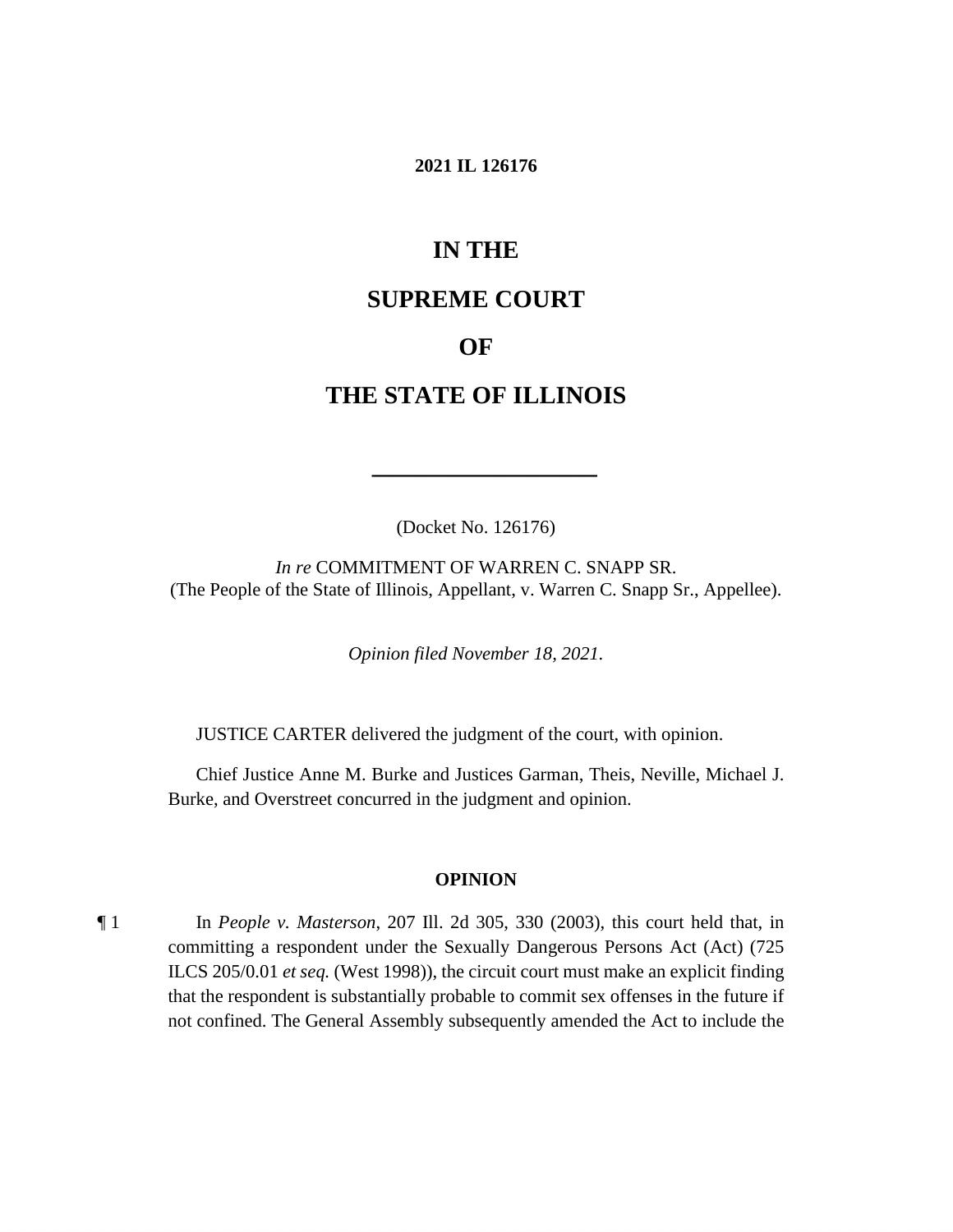#### **2021 IL 126176**

# **IN THE**

## **SUPREME COURT**

## **OF**

## **THE STATE OF ILLINOIS**

(Docket No. 126176)

 (The People of the State of Illinois, Appellant, v. Warren C. Snapp Sr., Appellee). *In re* COMMITMENT OF WARREN C. SNAPP SR.

*Opinion filed November 18, 2021.* 

JUSTICE CARTER delivered the judgment of the court, with opinion.

 Chief Justice Anne M. Burke and Justices Garman, Theis, Neville, Michael J. Burke, and Overstreet concurred in the judgment and opinion.

#### **OPINION**

 committing a respondent under the Sexually Dangerous Persons Act (Act) (725 ILCS [205/0.01](https://205/0.01) *et seq.* (West 1998)), the circuit court must make an explicit finding that the respondent is substantially probable to commit sex offenses in the future if ¶ 1 In *People v. Masterson*, 207 Ill. 2d 305, 330 (2003), this court held that, in not confined. The General Assembly subsequently amended the Act to include the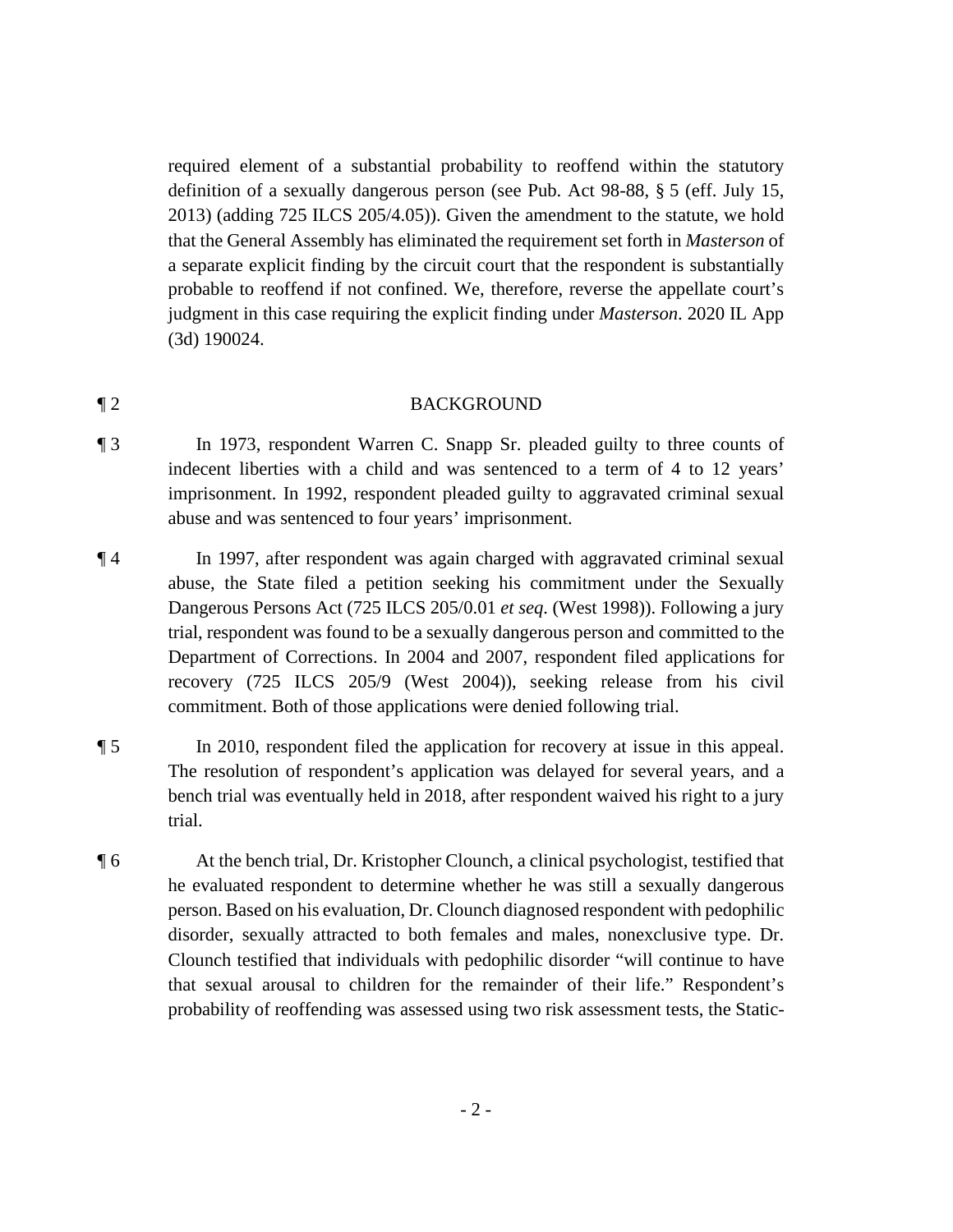required element of a substantial probability to reoffend within the statutory definition of a sexually dangerous person (see Pub. Act 98-88, § 5 (eff. July 15, 2013) (adding 725 ILCS 205/4.05)). Given the amendment to the statute, we hold that the General Assembly has eliminated the requirement set forth in *Masterson* of a separate explicit finding by the circuit court that the respondent is substantially probable to reoffend if not confined. We, therefore, reverse the appellate court's judgment in this case requiring the explicit finding under *Masterson*. 2020 IL App (3d) 190024.

### ¶ 2 BACKGROUND

- ¶ 3 In 1973, respondent Warren C. Snapp Sr. pleaded guilty to three counts of indecent liberties with a child and was sentenced to a term of 4 to 12 years' imprisonment. In 1992, respondent pleaded guilty to aggravated criminal sexual abuse and was sentenced to four years' imprisonment.
- ¶ 4 In 1997, after respondent was again charged with aggravated criminal sexual abuse, the State filed a petition seeking his commitment under the Sexually Dangerous Persons Act (725 ILCS 205/0.01 *et seq.* (West 1998)). Following a jury trial, respondent was found to be a sexually dangerous person and committed to the Department of Corrections. In 2004 and 2007, respondent filed applications for recovery (725 ILCS 205/9 (West 2004)), seeking release from his civil commitment. Both of those applications were denied following trial.
- bench trial was eventually held in 2018, after respondent waived his right to a jury ¶ 5 In 2010, respondent filed the application for recovery at issue in this appeal. The resolution of respondent's application was delayed for several years, and a trial.
- ¶ 6 At the bench trial, Dr. Kristopher Clounch, a clinical psychologist, testified that he evaluated respondent to determine whether he was still a sexually dangerous person. Based on his evaluation, Dr. Clounch diagnosed respondent with pedophilic disorder, sexually attracted to both females and males, nonexclusive type. Dr. Clounch testified that individuals with pedophilic disorder "will continue to have that sexual arousal to children for the remainder of their life." Respondent's probability of reoffending was assessed using two risk assessment tests, the Static-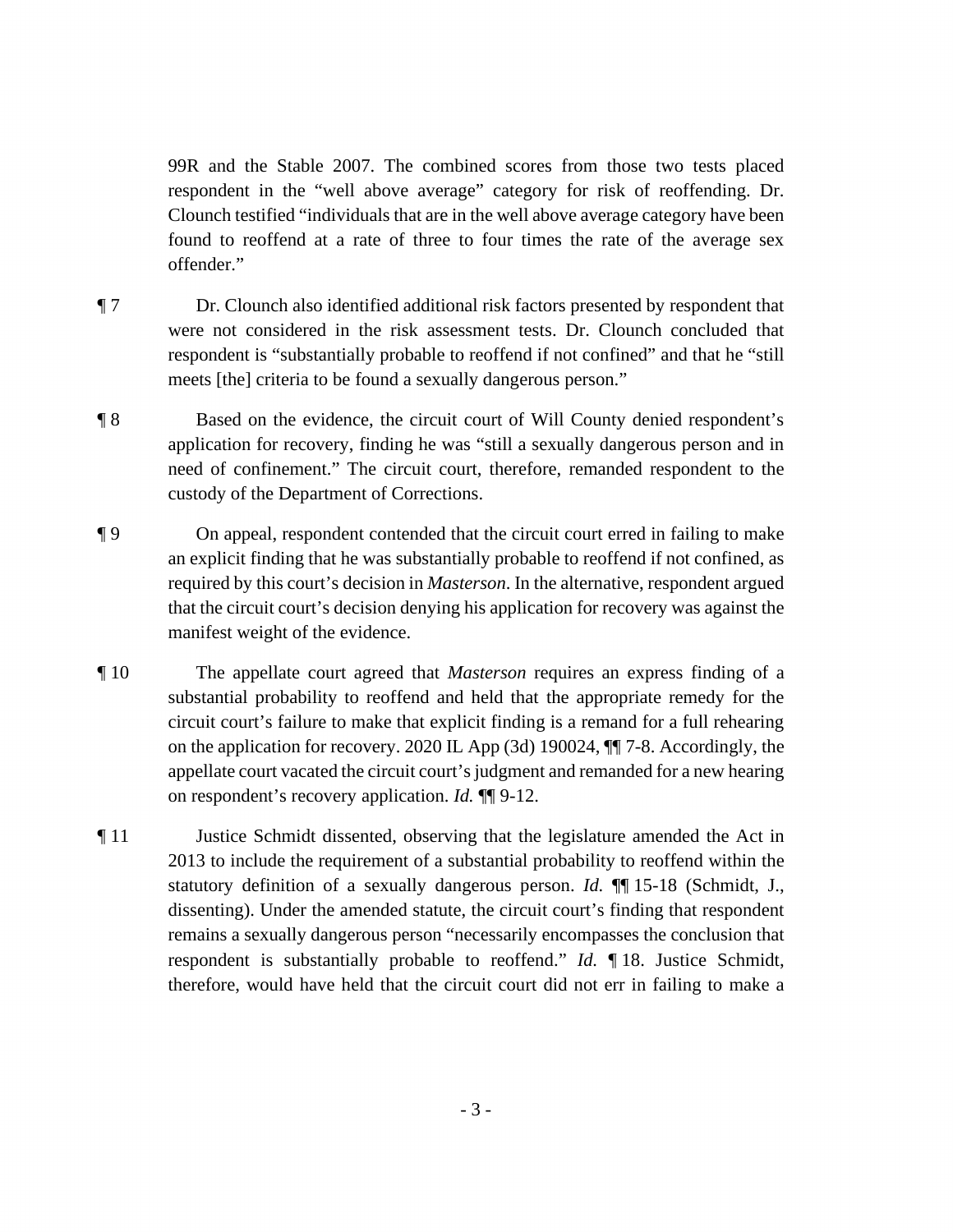99R and the Stable 2007. The combined scores from those two tests placed respondent in the "well above average" category for risk of reoffending. Dr. Clounch testified "individuals that are in the well above average category have been found to reoffend at a rate of three to four times the rate of the average sex offender."

- respondent is "substantially probable to reoffend if not confined" and that he "still ¶ 7 Dr. Clounch also identified additional risk factors presented by respondent that were not considered in the risk assessment tests. Dr. Clounch concluded that meets [the] criteria to be found a sexually dangerous person."
- ¶ 8 Based on the evidence, the circuit court of Will County denied respondent's need of confinement." The circuit court, therefore, remanded respondent to the application for recovery, finding he was "still a sexually dangerous person and in custody of the Department of Corrections.
- ¶ 9 On appeal, respondent contended that the circuit court erred in failing to make an explicit finding that he was substantially probable to reoffend if not confined, as required by this court's decision in *Masterson*. In the alternative, respondent argued that the circuit court's decision denying his application for recovery was against the manifest weight of the evidence.
- substantial probability to reoffend and held that the appropriate remedy for the on respondent's recovery application. *Id.* ¶¶ 9-12. ¶ 10 The appellate court agreed that *Masterson* requires an express finding of a circuit court's failure to make that explicit finding is a remand for a full rehearing on the application for recovery. 2020 IL App (3d) 190024, ¶¶ 7-8. Accordingly, the appellate court vacated the circuit court's judgment and remanded for a new hearing
- respondent is substantially probable to reoffend." *Id.* ¶ 18. Justice Schmidt, ¶ 11 Justice Schmidt dissented, observing that the legislature amended the Act in 2013 to include the requirement of a substantial probability to reoffend within the statutory definition of a sexually dangerous person. *Id.* ¶¶ 15-18 (Schmidt, J., dissenting). Under the amended statute, the circuit court's finding that respondent remains a sexually dangerous person "necessarily encompasses the conclusion that therefore, would have held that the circuit court did not err in failing to make a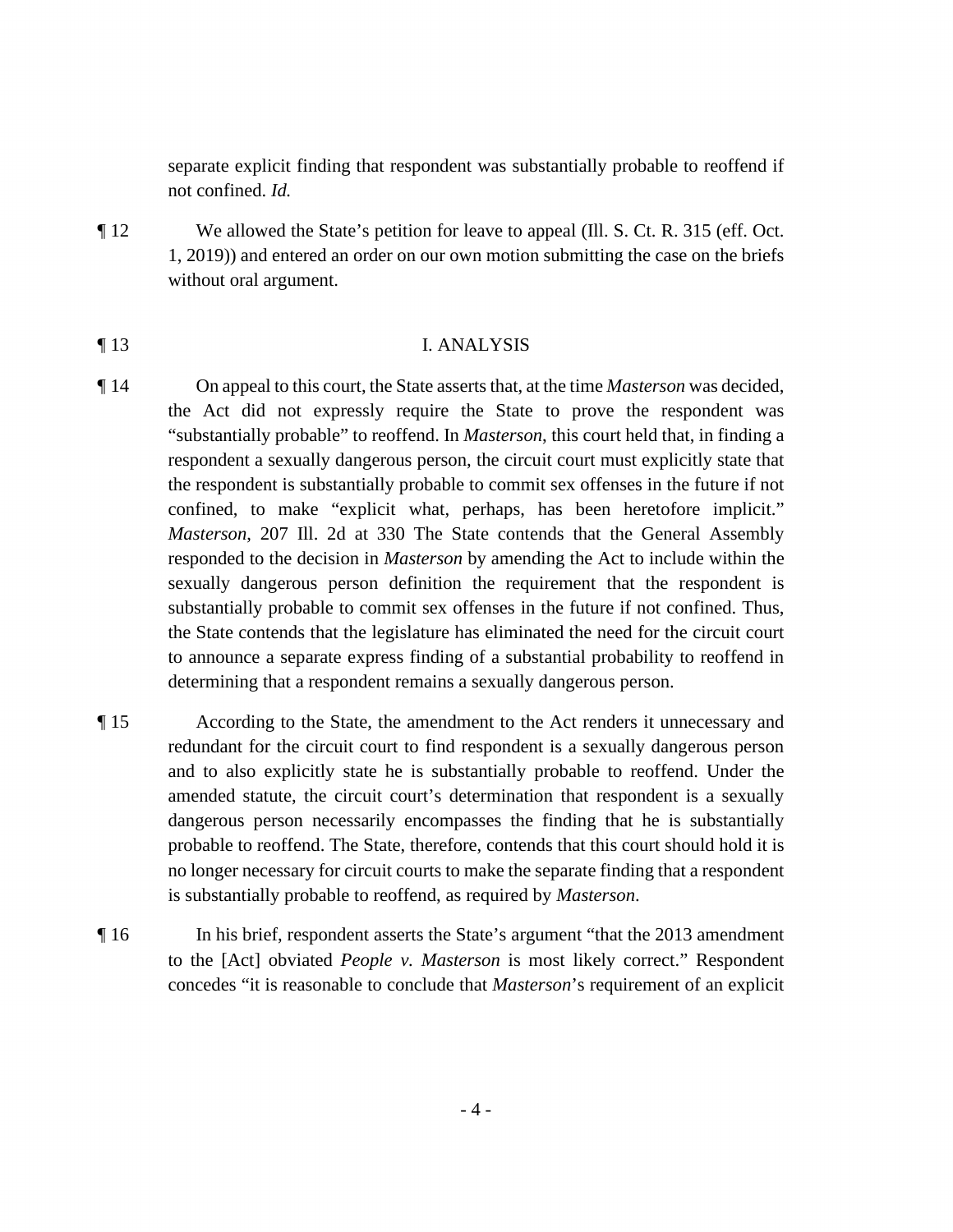separate explicit finding that respondent was substantially probable to reoffend if not confined. *Id.* 

¶ 12 We allowed the State's petition for leave to appeal (Ill. S. Ct. R. 315 (eff. Oct. 1, 2019)) and entered an order on our own motion submitting the case on the briefs without oral argument.

## ¶ 13 I. ANALYSIS

- sexually dangerous person definition the requirement that the respondent is ¶ 14 On appeal to this court, the State asserts that, at the time *Masterson* was decided, the Act did not expressly require the State to prove the respondent was "substantially probable" to reoffend. In *Masterson*, this court held that, in finding a respondent a sexually dangerous person, the circuit court must explicitly state that the respondent is substantially probable to commit sex offenses in the future if not confined, to make "explicit what, perhaps, has been heretofore implicit." *Masterson*, 207 Ill. 2d at 330 The State contends that the General Assembly responded to the decision in *Masterson* by amending the Act to include within the substantially probable to commit sex offenses in the future if not confined. Thus, the State contends that the legislature has eliminated the need for the circuit court to announce a separate express finding of a substantial probability to reoffend in determining that a respondent remains a sexually dangerous person.
- redundant for the circuit court to find respondent is a sexually dangerous person probable to reoffend. The State, therefore, contends that this court should hold it is ¶ 15 According to the State, the amendment to the Act renders it unnecessary and and to also explicitly state he is substantially probable to reoffend. Under the amended statute, the circuit court's determination that respondent is a sexually dangerous person necessarily encompasses the finding that he is substantially no longer necessary for circuit courts to make the separate finding that a respondent is substantially probable to reoffend, as required by *Masterson*.
- concedes "it is reasonable to conclude that *Masterson*'s requirement of an explicit ¶ 16 In his brief, respondent asserts the State's argument "that the 2013 amendment to the [Act] obviated *People v. Masterson* is most likely correct." Respondent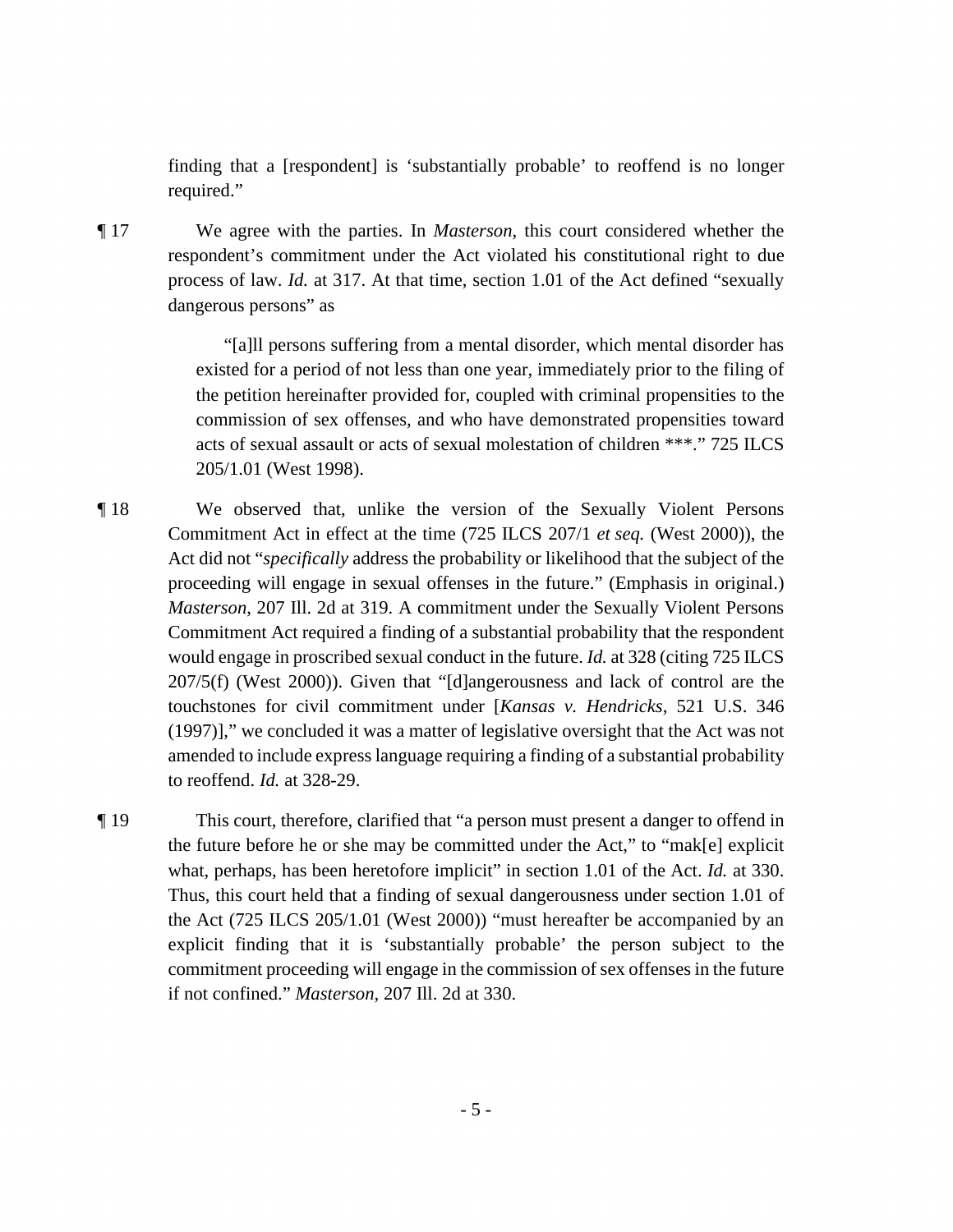finding that a [respondent] is 'substantially probable' to reoffend is no longer required."

 ¶ 17 We agree with the parties. In *Masterson*, this court considered whether the respondent's commitment under the Act violated his constitutional right to due process of law. *Id.* at 317. At that time, section 1.01 of the Act defined "sexually dangerous persons" as

> "[a]ll persons suffering from a mental disorder, which mental disorder has existed for a period of not less than one year, immediately prior to the filing of the petition hereinafter provided for, coupled with criminal propensities to the commission of sex offenses, and who have demonstrated propensities toward acts of sexual assault or acts of sexual molestation of children \*\*\*." 725 ILCS [205/1.01](https://205/1.01) (West 1998).

 Commitment Act required a finding of a substantial probability that the respondent ¶ 18 We observed that, unlike the version of the Sexually Violent Persons Commitment Act in effect at the time (725 ILCS 207/1 *et seq.* (West 2000)), the Act did not "*specifically* address the probability or likelihood that the subject of the proceeding will engage in sexual offenses in the future." (Emphasis in original.) *Masterson*, 207 Ill. 2d at 319. A commitment under the Sexually Violent Persons would engage in proscribed sexual conduct in the future. *Id.* at 328 (citing 725 ILCS 207/5(f) (West 2000)). Given that "[d]angerousness and lack of control are the touchstones for civil commitment under [*Kansas v. Hendricks*, 521 U.S. 346 (1997)]," we concluded it was a matter of legislative oversight that the Act was not amended to include express language requiring a finding of a substantial probability to reoffend. *Id.* at 328-29.

 the future before he or she may be committed under the Act," to "mak[e] explicit the Act (725 ILCS [205/1.01](https://205/1.01) (West 2000)) "must hereafter be accompanied by an ¶ 19 This court, therefore, clarified that "a person must present a danger to offend in what, perhaps, has been heretofore implicit" in section 1.01 of the Act. *Id.* at 330. Thus, this court held that a finding of sexual dangerousness under section 1.01 of explicit finding that it is 'substantially probable' the person subject to the commitment proceeding will engage in the commission of sex offenses in the future if not confined." *Masterson*, 207 Ill. 2d at 330.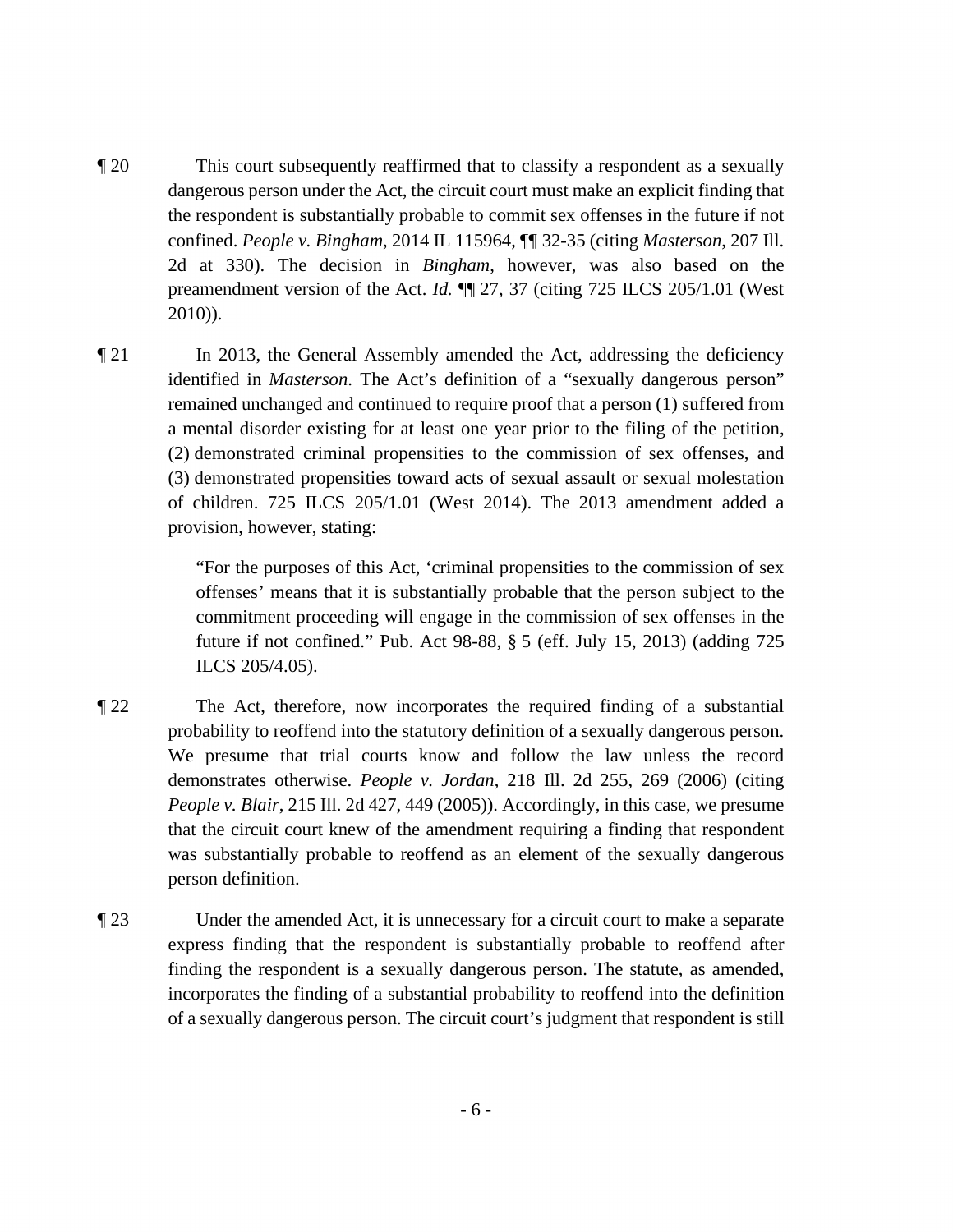- preamendment version of the Act. *Id.* ¶¶ 27, 37 (citing 725 ILCS [205/1.01](https://205/1.01) (West ¶ 20 This court subsequently reaffirmed that to classify a respondent as a sexually dangerous person under the Act, the circuit court must make an explicit finding that the respondent is substantially probable to commit sex offenses in the future if not confined. *People v. Bingham*, 2014 IL 115964, ¶¶ 32-35 (citing *Masterson*, 207 Ill. 2d at 330). The decision in *Bingham*, however, was also based on the 2010)).
- identified in *Masterson*. The Act's definition of a "sexually dangerous person" ¶ 21 In 2013, the General Assembly amended the Act, addressing the deficiency remained unchanged and continued to require proof that a person (1) suffered from a mental disorder existing for at least one year prior to the filing of the petition, (2) demonstrated criminal propensities to the commission of sex offenses, and (3) demonstrated propensities toward acts of sexual assault or sexual molestation of children. 725 ILCS [205/1.01](https://205/1.01) (West 2014). The 2013 amendment added a provision, however, stating:

 future if not confined." Pub. Act 98-88, § 5 (eff. July 15, 2013) (adding 725 "For the purposes of this Act, 'criminal propensities to the commission of sex offenses' means that it is substantially probable that the person subject to the commitment proceeding will engage in the commission of sex offenses in the ILCS [205/4.05](https://205/4.05)).

- probability to reoffend into the statutory definition of a sexually dangerous person. that the circuit court knew of the amendment requiring a finding that respondent ¶ 22 The Act, therefore, now incorporates the required finding of a substantial We presume that trial courts know and follow the law unless the record demonstrates otherwise. *People v. Jordan*, 218 Ill. 2d 255, 269 (2006) (citing *People v. Blair*, 215 Ill. 2d 427, 449 (2005)). Accordingly, in this case, we presume was substantially probable to reoffend as an element of the sexually dangerous person definition.
- ¶ 23 Under the amended Act, it is unnecessary for a circuit court to make a separate express finding that the respondent is substantially probable to reoffend after finding the respondent is a sexually dangerous person. The statute, as amended, incorporates the finding of a substantial probability to reoffend into the definition of a sexually dangerous person. The circuit court's judgment that respondent is still